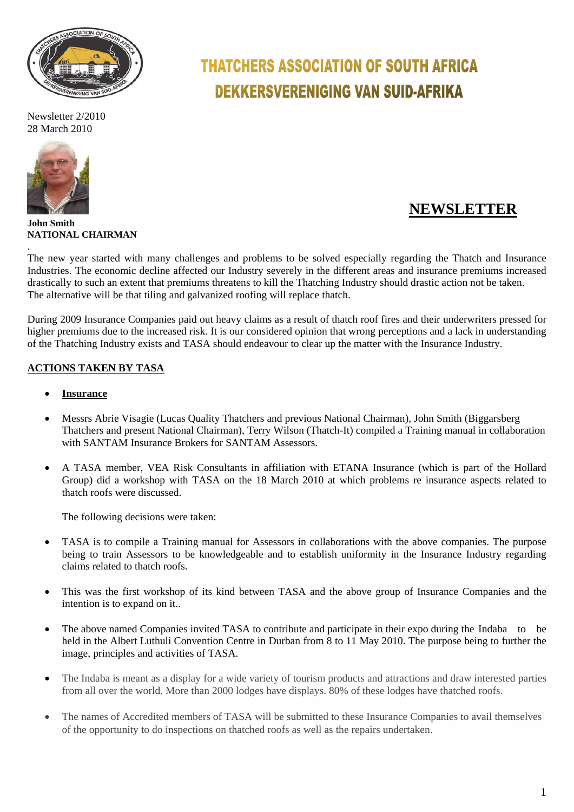

Newsletter 2/2010 28 March 2010



# **THATCHERS ASSOCIATION OF SOUTH AFRICA DEKKERSVERENIGING VAN SUID-AFRIKA**

# **NEWSLETTER**

**John Smith NATIONAL CHAIRMAN** .

The new year started with many challenges and problems to be solved especially regarding the Thatch and Insurance Industries. The economic decline affected our Industry severely in the different areas and insurance premiums increased drastically to such an extent that premiums threatens to kill the Thatching Industry should drastic action not be taken. The alternative will be that tiling and galvanized roofing will replace thatch.

During 2009 Insurance Companies paid out heavy claims as a result of thatch roof fires and their underwriters pressed for higher premiums due to the increased risk. It is our considered opinion that wrong perceptions and a lack in understanding of the Thatching Industry exists and TASA should endeavour to clear up the matter with the Insurance Industry.

# **ACTIONS TAKEN BY TASA**

- **Insurance**
- Messrs Abrie Visagie (Lucas Quality Thatchers and previous National Chairman), John Smith (Biggarsberg Thatchers and present National Chairman), Terry Wilson (Thatch-It) compiled a Training manual in collaboration with SANTAM Insurance Brokers for SANTAM Assessors.
- A TASA member, VEA Risk Consultants in affiliation with ETANA Insurance (which is part of the Hollard Group) did a workshop with TASA on the 18 March 2010 at which problems re insurance aspects related to thatch roofs were discussed.

The following decisions were taken:

- TASA is to compile a Training manual for Assessors in collaborations with the above companies. The purpose being to train Assessors to be knowledgeable and to establish uniformity in the Insurance Industry regarding claims related to thatch roofs.
- This was the first workshop of its kind between TASA and the above group of Insurance Companies and the intention is to expand on it..
- The above named Companies invited TASA to contribute and participate in their expo during the Indaba to be held in the Albert Luthuli Convention Centre in Durban from 8 to 11 May 2010. The purpose being to further the image, principles and activities of TASA.
- The Indaba is meant as a display for a wide variety of tourism products and attractions and draw interested parties from all over the world. More than 2000 lodges have displays. 80% of these lodges have thatched roofs.
- The names of Accredited members of TASA will be submitted to these Insurance Companies to avail themselves of the opportunity to do inspections on thatched roofs as well as the repairs undertaken.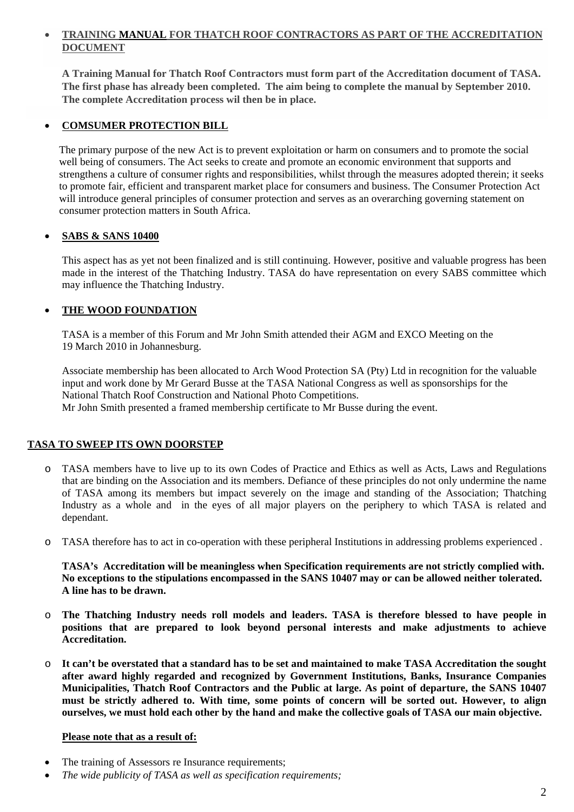#### **TRAINING MANUAL FOR THATCH ROOF CONTRACTORS AS PART OF THE ACCREDITATION DOCUMENT**

**A Training Manual for Thatch Roof Contractors must form part of the Accreditation document of TASA. The first phase has already been completed. The aim being to complete the manual by September 2010. The complete Accreditation process wil then be in place.** 

#### **COMSUMER PROTECTION BILL**

 The primary purpose of the new Act is to prevent exploitation or harm on consumers and to promote the social well being of consumers. The Act seeks to create and promote an economic environment that supports and strengthens a culture of consumer rights and responsibilities, whilst through the measures adopted therein; it seeks to promote fair, efficient and transparent market place for consumers and business. The Consumer Protection Act will introduce general principles of consumer protection and serves as an overarching governing statement on consumer protection matters in South Africa.

#### **SABS & SANS 10400**

This aspect has as yet not been finalized and is still continuing. However, positive and valuable progress has been made in the interest of the Thatching Industry. TASA do have representation on every SABS committee which may influence the Thatching Industry.

#### **THE WOOD FOUNDATION**

TASA is a member of this Forum and Mr John Smith attended their AGM and EXCO Meeting on the 19 March 2010 in Johannesburg.

Associate membership has been allocated to Arch Wood Protection SA (Pty) Ltd in recognition for the valuable input and work done by Mr Gerard Busse at the TASA National Congress as well as sponsorships for the National Thatch Roof Construction and National Photo Competitions. Mr John Smith presented a framed membership certificate to Mr Busse during the event.

#### **TASA TO SWEEP ITS OWN DOORSTEP**

- o TASA members have to live up to its own Codes of Practice and Ethics as well as Acts, Laws and Regulations that are binding on the Association and its members. Defiance of these principles do not only undermine the name of TASA among its members but impact severely on the image and standing of the Association; Thatching Industry as a whole and in the eyes of all major players on the periphery to which TASA is related and dependant.
- o TASA therefore has to act in co-operation with these peripheral Institutions in addressing problems experienced .

**TASA's Accreditation will be meaningless when Specification requirements are not strictly complied with. No exceptions to the stipulations encompassed in the SANS 10407 may or can be allowed neither tolerated. A line has to be drawn.** 

- o **The Thatching Industry needs roll models and leaders. TASA is therefore blessed to have people in positions that are prepared to look beyond personal interests and make adjustments to achieve Accreditation.**
- o **It can't be overstated that a standard has to be set and maintained to make TASA Accreditation the sought after award highly regarded and recognized by Government Institutions, Banks, Insurance Companies Municipalities, Thatch Roof Contractors and the Public at large. As point of departure, the SANS 10407 must be strictly adhered to. With time, some points of concern will be sorted out. However, to align ourselves, we must hold each other by the hand and make the collective goals of TASA our main objective.**

#### **Please note that as a result of:**

- The training of Assessors re Insurance requirements;
- *The wide publicity of TASA as well as specification requirements;*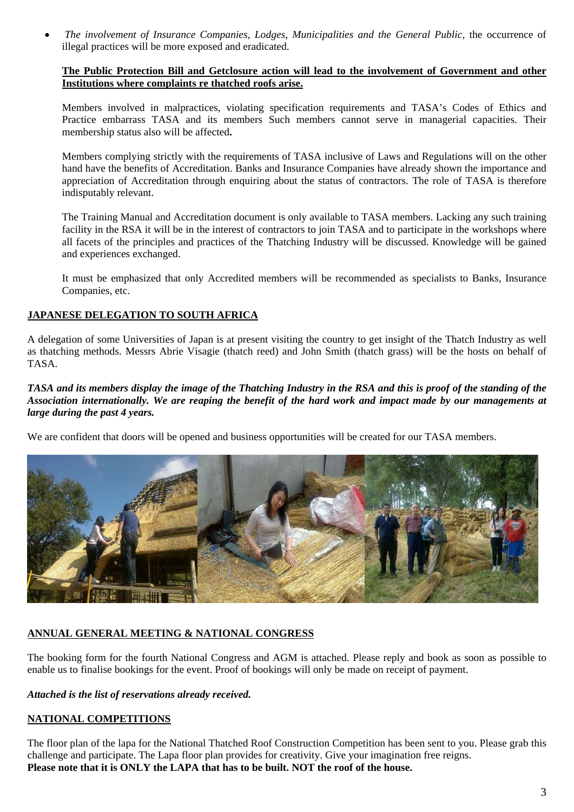*The involvement of Insurance Companies, Lodges, Municipalities and the General Public,* the occurrence of illegal practices will be more exposed and eradicated.

#### **The Public Protection Bill and Getclosure action will lead to the involvement of Government and other Institutions where complaints re thatched roofs arise.**

Members involved in malpractices, violating specification requirements and TASA's Codes of Ethics and Practice embarrass TASA and its members Such members cannot serve in managerial capacities. Their membership status also will be affected**.** 

Members complying strictly with the requirements of TASA inclusive of Laws and Regulations will on the other hand have the benefits of Accreditation. Banks and Insurance Companies have already shown the importance and appreciation of Accreditation through enquiring about the status of contractors. The role of TASA is therefore indisputably relevant.

The Training Manual and Accreditation document is only available to TASA members. Lacking any such training facility in the RSA it will be in the interest of contractors to join TASA and to participate in the workshops where all facets of the principles and practices of the Thatching Industry will be discussed. Knowledge will be gained and experiences exchanged.

It must be emphasized that only Accredited members will be recommended as specialists to Banks, Insurance Companies, etc.

#### **JAPANESE DELEGATION TO SOUTH AFRICA**

A delegation of some Universities of Japan is at present visiting the country to get insight of the Thatch Industry as well as thatching methods. Messrs Abrie Visagie (thatch reed) and John Smith (thatch grass) will be the hosts on behalf of TASA.

#### *TASA and its members display the image of the Thatching Industry in the RSA and this is proof of the standing of the Association internationally. We are reaping the benefit of the hard work and impact made by our managements at large during the past 4 years.*

We are confident that doors will be opened and business opportunities will be created for our TASA members.



#### **ANNUAL GENERAL MEETING & NATIONAL CONGRESS**

The booking form for the fourth National Congress and AGM is attached. Please reply and book as soon as possible to enable us to finalise bookings for the event. Proof of bookings will only be made on receipt of payment.

*Attached is the list of reservations already received.* 

#### **NATIONAL COMPETITIONS**

The floor plan of the lapa for the National Thatched Roof Construction Competition has been sent to you. Please grab this challenge and participate. The Lapa floor plan provides for creativity. Give your imagination free reigns. **Please note that it is ONLY the LAPA that has to be built. NOT the roof of the house.**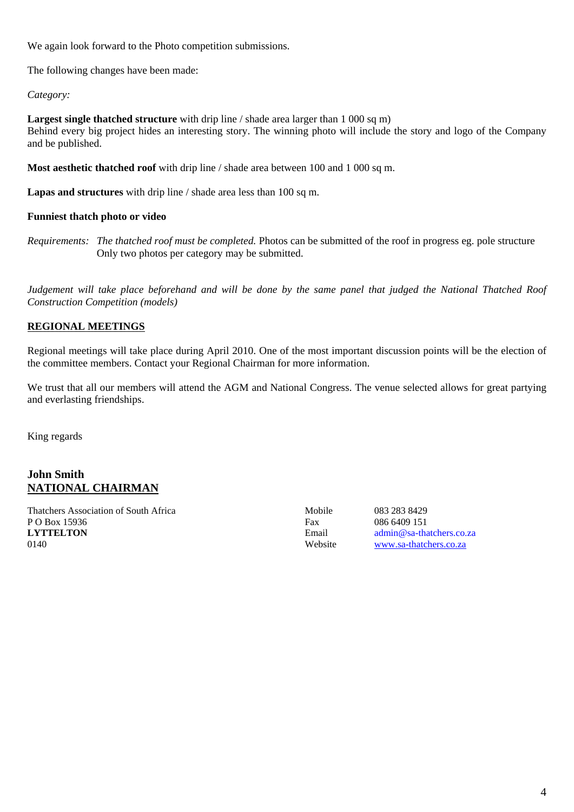We again look forward to the Photo competition submissions.

The following changes have been made:

#### *Category:*

**Largest single thatched structure** with drip line / shade area larger than 1 000 sq m) Behind every big project hides an interesting story. The winning photo will include the story and logo of the Company and be published.

**Most aesthetic thatched roof** with drip line / shade area between 100 and 1 000 sq m.

**Lapas and structures** with drip line / shade area less than 100 sq m.

#### **Funniest thatch photo or video**

*Requirements: The thatched roof must be completed.* Photos can be submitted of the roof in progress eg. pole structure Only two photos per category may be submitted.

*Judgement will take place beforehand and will be done by the same panel that judged the National Thatched Roof Construction Competition (models)*

#### **REGIONAL MEETINGS**

Regional meetings will take place during April 2010. One of the most important discussion points will be the election of the committee members. Contact your Regional Chairman for more information.

We trust that all our members will attend the AGM and National Congress. The venue selected allows for great partying and everlasting friendships.

King regards

#### **John Smith NATIONAL CHAIRMAN**

Thatchers Association of South Africa Mobile 1983 283 8429 P O Box 15936 Fax 086 6409 151 **LYTTELTON** Email admin@sa-thatchers.co.za 0140 Website [www.sa-thatchers.co.za](http://www.sa-thatchers.co.za/)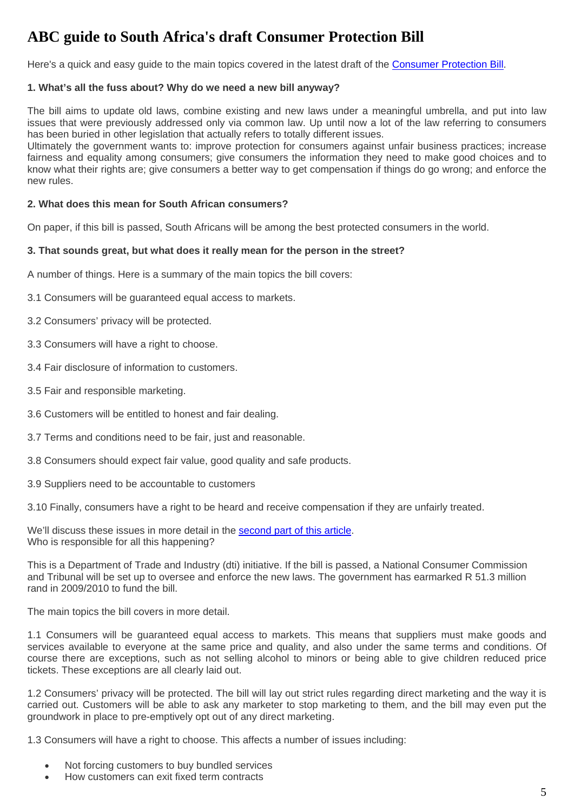# **ABC guide to South Africa's draft Consumer Protection Bill**

Here's a quick and easy guide to the main topics covered in the latest draft of the [Consumer Protection Bill](http://www.thedti.gov.za/ccrdlawreview/ConsumerProtectionBill08.pdf).

#### **1. What's all the fuss about? Why do we need a new bill anyway?**

The bill aims to update old laws, combine existing and new laws under a meaningful umbrella, and put into law issues that were previously addressed only via common law. Up until now a lot of the law referring to consumers has been buried in other legislation that actually refers to totally different issues.

Ultimately the government wants to: improve protection for consumers against unfair business practices; increase fairness and equality among consumers; give consumers the information they need to make good choices and to know what their rights are; give consumers a better way to get compensation if things do go wrong; and enforce the new rules.

#### **2. What does this mean for South African consumers?**

On paper, if this bill is passed, South Africans will be among the best protected consumers in the world.

#### **3. That sounds great, but what does it really mean for the person in the street?**

A number of things. Here is a summary of the main topics the bill covers:

3.1 Consumers will be guaranteed equal access to markets.

3.2 Consumers' privacy will be protected.

3.3 Consumers will have a right to choose.

3.4 Fair disclosure of information to customers.

3.5 Fair and responsible marketing.

3.6 Customers will be entitled to honest and fair dealing.

3.7 Terms and conditions need to be fair, just and reasonable.

3.8 Consumers should expect fair value, good quality and safe products.

3.9 Suppliers need to be accountable to customers

3.10 Finally, consumers have a right to be heard and receive compensation if they are unfairly treated.

We'll discuss these issues in more detail in the [second part of this article.](http://www.getclosure.co.za/article/abc-guide-to-south-africa-s-draft-consumer-protection-bill-part-two.html) Who is responsible for all this happening?

This is a Department of Trade and Industry (dti) initiative. If the bill is passed, a National Consumer Commission and Tribunal will be set up to oversee and enforce the new laws. The government has earmarked R 51.3 million rand in 2009/2010 to fund the bill.

The main topics the bill covers in more detail.

1.1 Consumers will be guaranteed equal access to markets. This means that suppliers must make goods and services available to everyone at the same price and quality, and also under the same terms and conditions. Of course there are exceptions, such as not selling alcohol to minors or being able to give children reduced price tickets. These exceptions are all clearly laid out.

1.2 Consumers' privacy will be protected. The bill will lay out strict rules regarding direct marketing and the way it is carried out. Customers will be able to ask any marketer to stop marketing to them, and the bill may even put the groundwork in place to pre-emptively opt out of any direct marketing.

1.3 Consumers will have a right to choose. This affects a number of issues including:

- Not forcing customers to buy bundled services
- How customers can exit fixed term contracts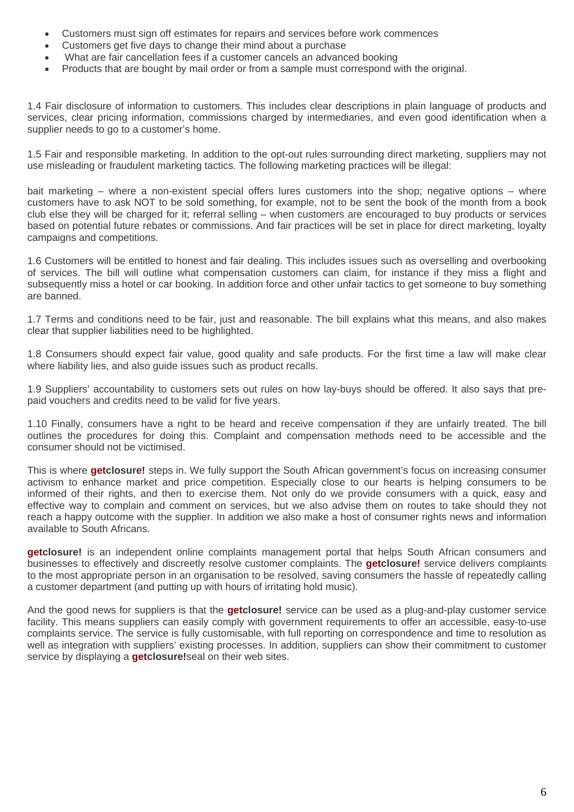- Customers must sign off estimates for repairs and services before work commences
- Customers get five days to change their mind about a purchase
- What are fair cancellation fees if a customer cancels an advanced booking
- Products that are bought by mail order or from a sample must correspond with the original.

1.4 Fair disclosure of information to customers. This includes clear descriptions in plain language of products and services, clear pricing information, commissions charged by intermediaries, and even good identification when a supplier needs to go to a customer's home.

1.5 Fair and responsible marketing. In addition to the opt-out rules surrounding direct marketing, suppliers may not use misleading or fraudulent marketing tactics. The following marketing practices will be illegal:

bait marketing – where a non-existent special offers lures customers into the shop; negative options – where customers have to ask NOT to be sold something, for example, not to be sent the book of the month from a book club else they will be charged for it; referral selling – when customers are encouraged to buy products or services based on potential future rebates or commissions. And fair practices will be set in place for direct marketing, loyalty campaigns and competitions.

1.6 Customers will be entitled to honest and fair dealing. This includes issues such as overselling and overbooking of services. The bill will outline what compensation customers can claim, for instance if they miss a flight and subsequently miss a hotel or car booking. In addition force and other unfair tactics to get someone to buy something are banned.

1.7 Terms and conditions need to be fair, just and reasonable. The bill explains what this means, and also makes clear that supplier liabilities need to be highlighted.

1.8 Consumers should expect fair value, good quality and safe products. For the first time a law will make clear where liability lies, and also guide issues such as product recalls.

1.9 Suppliers' accountability to customers sets out rules on how lay-buys should be offered. It also says that prepaid vouchers and credits need to be valid for five years.

1.10 Finally, consumers have a right to be heard and receive compensation if they are unfairly treated. The bill outlines the procedures for doing this. Complaint and compensation methods need to be accessible and the consumer should not be victimised.

This is where **getclosure!** steps in. We fully support the South African government's focus on increasing consumer activism to enhance market and price competition. Especially close to our hearts is helping consumers to be informed of their rights, and then to exercise them. Not only do we provide consumers with a quick, easy and effective way to complain and comment on services, but we also advise them on routes to take should they not reach a happy outcome with the supplier. In addition we also make a host of consumer rights news and information available to South Africans.

**getclosure!** is an independent online complaints management portal that helps South African consumers and businesses to effectively and discreetly resolve customer complaints. The **getclosure!** service delivers complaints to the most appropriate person in an organisation to be resolved, saving consumers the hassle of repeatedly calling a customer department (and putting up with hours of irritating hold music).

And the good news for suppliers is that the **getclosure!** service can be used as a plug-and-play customer service facility. This means suppliers can easily comply with government requirements to offer an accessible, easy-to-use complaints service. The service is fully customisable, with full reporting on correspondence and time to resolution as well as integration with suppliers' existing processes. In addition, suppliers can show their commitment to customer service by displaying a **getclosure!**seal on their web sites.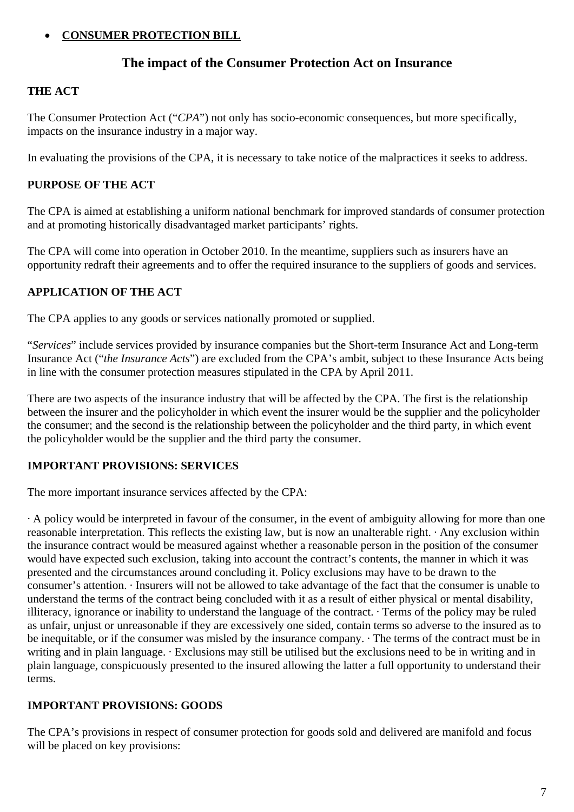# **CONSUMER PROTECTION BILL**

# **The impact of the Consumer Protection Act on Insurance**

# **THE ACT**

The Consumer Protection Act ("*CPA*") not only has socio-economic consequences, but more specifically, impacts on the insurance industry in a major way.

In evaluating the provisions of the CPA, it is necessary to take notice of the malpractices it seeks to address.

### **PURPOSE OF THE ACT**

The CPA is aimed at establishing a uniform national benchmark for improved standards of consumer protection and at promoting historically disadvantaged market participants' rights.

The CPA will come into operation in October 2010. In the meantime, suppliers such as insurers have an opportunity redraft their agreements and to offer the required insurance to the suppliers of goods and services.

### **APPLICATION OF THE ACT**

The CPA applies to any goods or services nationally promoted or supplied.

"*Services*" include services provided by insurance companies but the Short-term Insurance Act and Long-term Insurance Act ("*the Insurance Acts*") are excluded from the CPA's ambit, subject to these Insurance Acts being in line with the consumer protection measures stipulated in the CPA by April 2011.

There are two aspects of the insurance industry that will be affected by the CPA. The first is the relationship between the insurer and the policyholder in which event the insurer would be the supplier and the policyholder the consumer; and the second is the relationship between the policyholder and the third party, in which event the policyholder would be the supplier and the third party the consumer.

# **IMPORTANT PROVISIONS: SERVICES**

The more important insurance services affected by the CPA:

· A policy would be interpreted in favour of the consumer, in the event of ambiguity allowing for more than one reasonable interpretation. This reflects the existing law, but is now an unalterable right.  $\cdot$  Any exclusion within the insurance contract would be measured against whether a reasonable person in the position of the consumer would have expected such exclusion, taking into account the contract's contents, the manner in which it was presented and the circumstances around concluding it. Policy exclusions may have to be drawn to the consumer's attention. · Insurers will not be allowed to take advantage of the fact that the consumer is unable to understand the terms of the contract being concluded with it as a result of either physical or mental disability, illiteracy, ignorance or inability to understand the language of the contract. · Terms of the policy may be ruled as unfair, unjust or unreasonable if they are excessively one sided, contain terms so adverse to the insured as to be inequitable, or if the consumer was misled by the insurance company.  $\cdot$  The terms of the contract must be in writing and in plain language. · Exclusions may still be utilised but the exclusions need to be in writing and in plain language, conspicuously presented to the insured allowing the latter a full opportunity to understand their terms.

# **IMPORTANT PROVISIONS: GOODS**

The CPA's provisions in respect of consumer protection for goods sold and delivered are manifold and focus will be placed on key provisions: